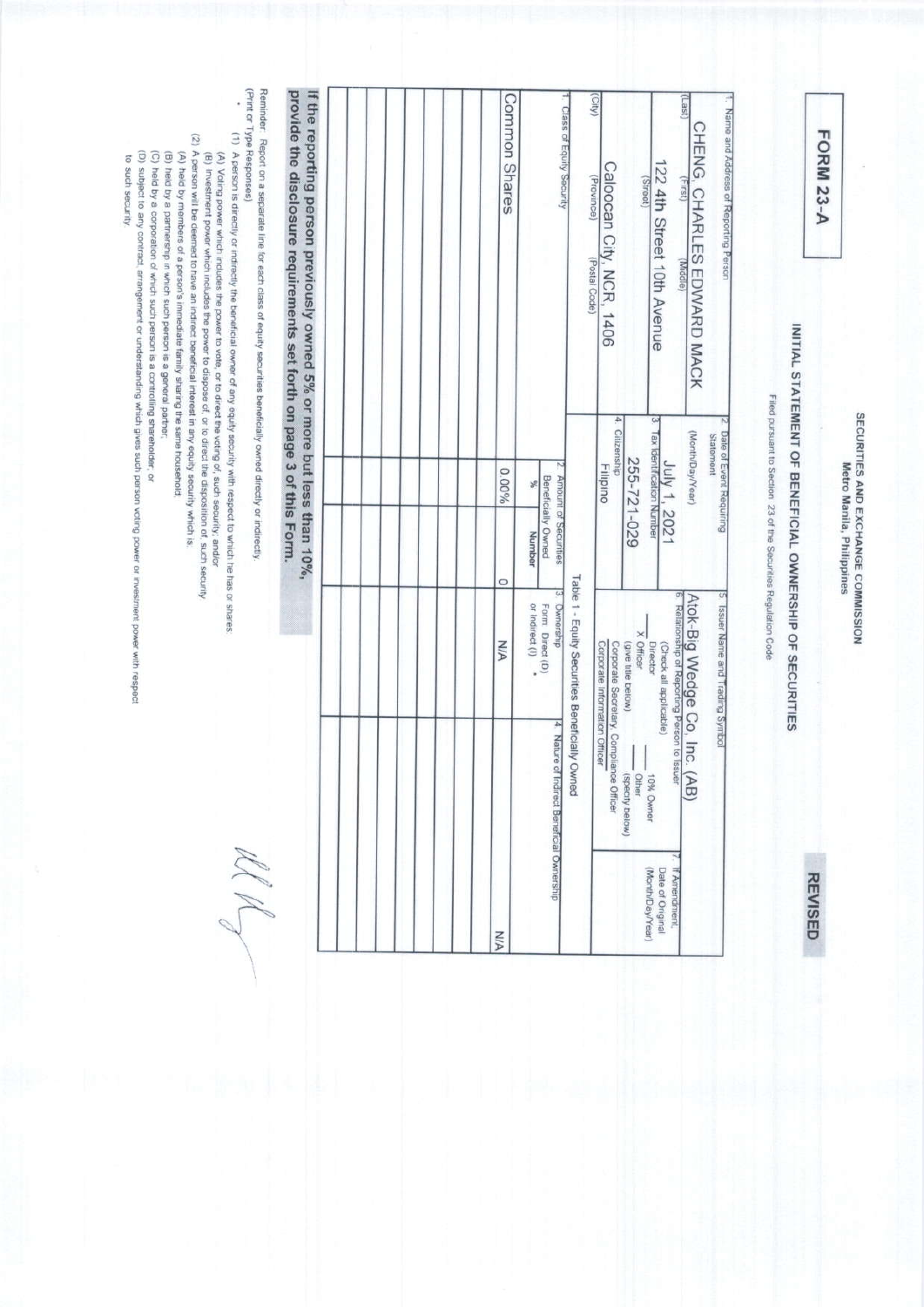SECURITIES AND EXCHANGE COMMISSION Metro Manila, Philippines

**FORM 23-A** 

INITIAL STATEMENT OF BENEFICIAL OWNERSHIP OF SECURITIES

Filed pursuant to Section 23 of the Securities Regulation Code

| 1. Name and Address of Reporting Person | 2. Date of Event Requiring<br>Statement |                                                      | 5 Issuer Name and Trading Symbol                                       |                                           |                                   |
|-----------------------------------------|-----------------------------------------|------------------------------------------------------|------------------------------------------------------------------------|-------------------------------------------|-----------------------------------|
| CHENG, CHARLES EDWARD MACK              | (Month/Day/Year)                        |                                                      | Atok-Big Wedge Co, Inc. (AB                                            |                                           |                                   |
| (Fase)<br>(First)<br>(Middle)           |                                         |                                                      |                                                                        |                                           |                                   |
|                                         | July 1, 2021                            |                                                      | 6 Relationship of Reporting Person to Issuer<br>(Check all applicable) |                                           | If Amendment.<br>Date of Original |
| 122 4th Street 10th Avenue              | Tax Identification Number               |                                                      | <b>Director</b>                                                        | %01<br>Owner                              | (Month/Day/Year)                  |
| (Street)                                | 255-721-029                             |                                                      | X Officer<br>(give title below)                                        | Othe<br>(woled yingers)                   |                                   |
| Caloocan City, NCR, 1406                | 4. Citizenship<br>Filipino              |                                                      |                                                                        | Corporate Secretary, Compliance Officer   |                                   |
| (CIV)<br>(Province)<br>(Postal Code)    |                                         |                                                      | Corporate Information Officer                                          |                                           |                                   |
|                                         |                                         |                                                      | Table 1 - Equity Securities Beneficially Owned                         |                                           |                                   |
| 1. Class of Equity Security             |                                         | 2. Amount of Securities<br><b>Beneficially Owned</b> | 3. Ownership<br>Form: Direct (D)                                       | 4 Nature of Indirect Beneficial Ownership |                                   |
|                                         | sk.                                     | Number                                               | or Indirect (I)                                                        |                                           |                                   |
| Common Shares                           | 0.00%                                   | O                                                    | <b>N/A</b>                                                             |                                           | NIA                               |
|                                         |                                         |                                                      |                                                                        |                                           |                                   |
|                                         |                                         |                                                      |                                                                        |                                           |                                   |
|                                         |                                         |                                                      |                                                                        |                                           |                                   |
|                                         |                                         |                                                      |                                                                        |                                           |                                   |
|                                         |                                         |                                                      |                                                                        |                                           |                                   |
|                                         |                                         |                                                      |                                                                        |                                           |                                   |
|                                         |                                         |                                                      |                                                                        |                                           |                                   |
|                                         |                                         |                                                      |                                                                        |                                           |                                   |

provide the disclosure requirements set forth on page 3 of this Form. If the reporting person previously owned 5% or more but less than 10%,

(Print or Type Responses) Reminder Report on a separate line for each class of equity securities beneficially owned directly or indirectly

.

(1) A person is directly or indirectly the beneficial owner of any equity security with respect to which he has or shares: (A) Voling power which includes the power to vote, or to direct the voting of, such security; and/or<br>(B) Investment power which includes the power to dispose of, or to direct the disposition of, such security

(2) A person will be deemed to have an indirect beneficial interest in any equity security which is: (A) held by members of a person's immediate family sharing the same household.

(B) held by a partnership in which such person is a general partner;<br>(C) held by a corporation of which such person is a controlling shareholder; or<br>(D) subject to any contract, arrangement or understanding which gives suc to such security.

XNY

**REVISED**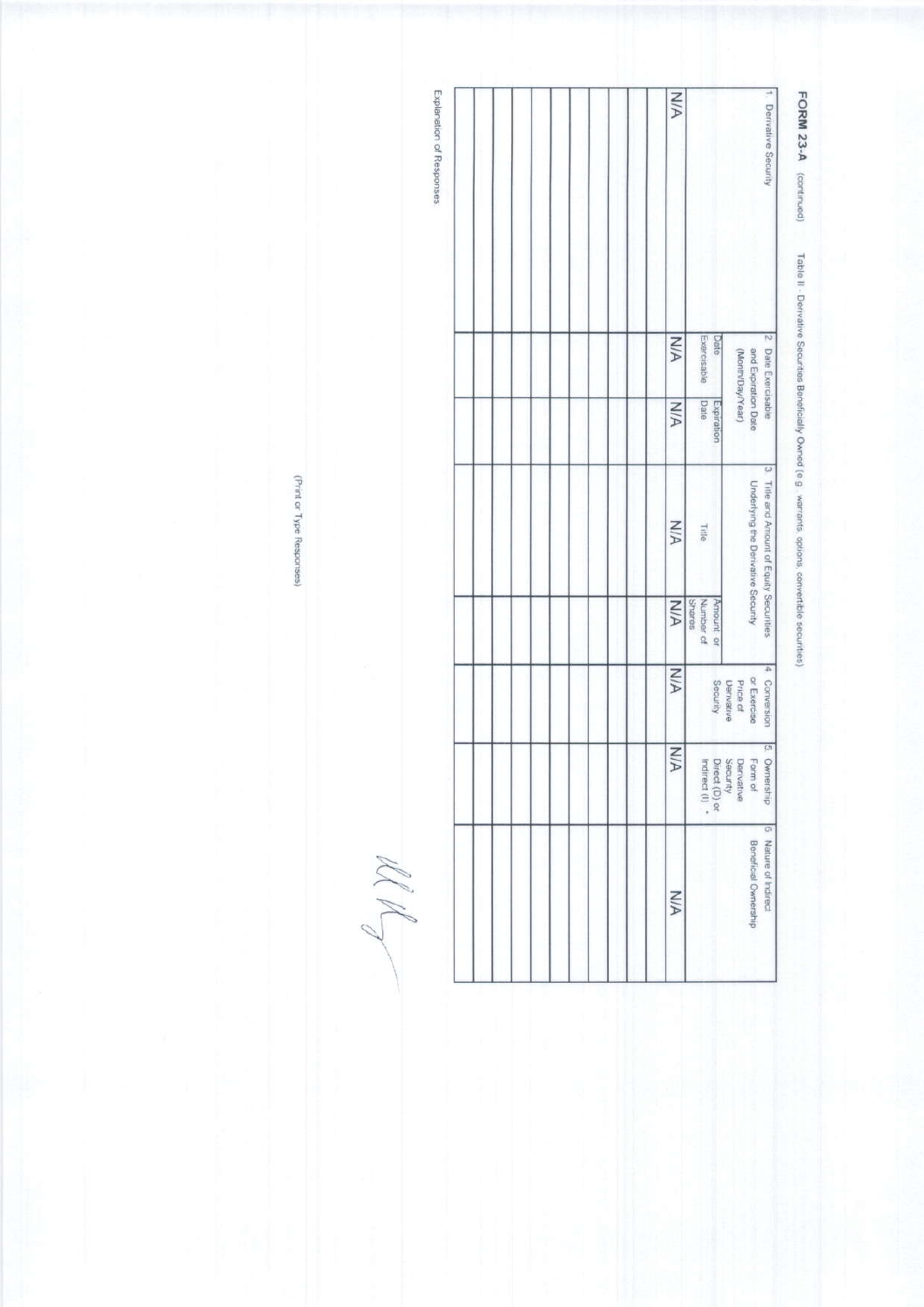| 2 Date Exercisable<br>Exercisable<br>Date<br><b>A/A</b><br>(Month/Day/Year)<br>and Expiration Date<br>Date<br>Expiration<br>N/A<br>$\omega$<br>(Print or Type Responses)<br>Underlying the Derivative Security<br>Title and Amount of Equity Securities<br>NIA<br>Title<br>Number of<br>Shares<br>Amount or<br>N/A<br>4. Conversion<br><b>A/A</b><br>or Exercise<br>Security<br>Derwative<br>Price of<br>$\overline{\omega}$<br>NIA<br>Derivative<br>Security<br>Direct (D) or<br>Indirect (I) *<br>Form of<br>Ownership<br>$\omega$<br>Nature of Indirect<br>Beneficial Ownership<br>WN<br><b>A/A</b> |  | Explanation of Responses |  | <b>N/A</b> | 1. Derivative Security |
|--------------------------------------------------------------------------------------------------------------------------------------------------------------------------------------------------------------------------------------------------------------------------------------------------------------------------------------------------------------------------------------------------------------------------------------------------------------------------------------------------------------------------------------------------------------------------------------------------------|--|--------------------------|--|------------|------------------------|
|                                                                                                                                                                                                                                                                                                                                                                                                                                                                                                                                                                                                        |  |                          |  |            |                        |
|                                                                                                                                                                                                                                                                                                                                                                                                                                                                                                                                                                                                        |  |                          |  |            |                        |
|                                                                                                                                                                                                                                                                                                                                                                                                                                                                                                                                                                                                        |  |                          |  |            |                        |
|                                                                                                                                                                                                                                                                                                                                                                                                                                                                                                                                                                                                        |  |                          |  |            |                        |
|                                                                                                                                                                                                                                                                                                                                                                                                                                                                                                                                                                                                        |  |                          |  |            |                        |
|                                                                                                                                                                                                                                                                                                                                                                                                                                                                                                                                                                                                        |  |                          |  |            |                        |
|                                                                                                                                                                                                                                                                                                                                                                                                                                                                                                                                                                                                        |  |                          |  |            |                        |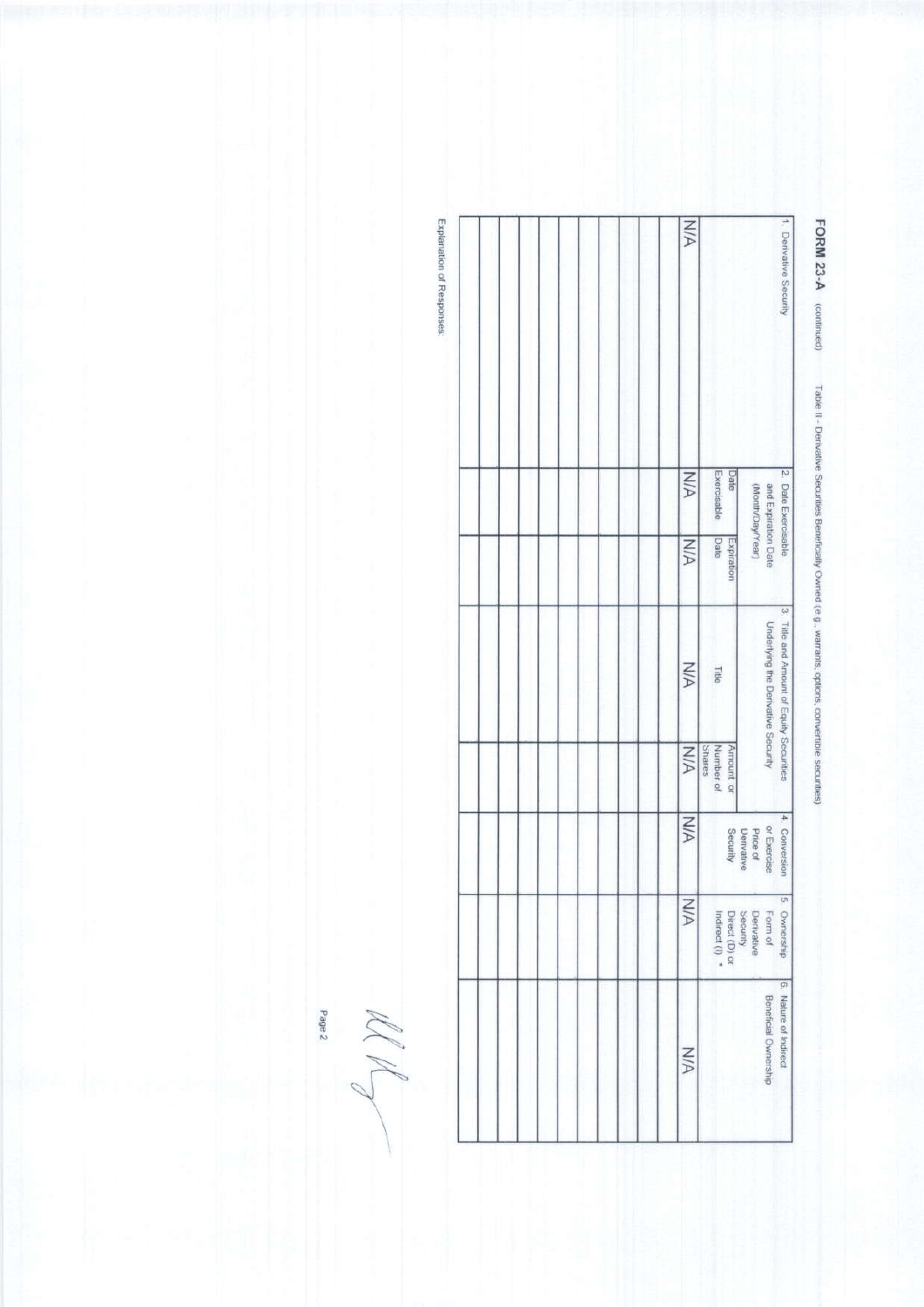1. Derivative Sec 2. Date Exe 3 Tille A.

Table II - Derivative Securities Beneficially Owned (e.g., warrants, options, convertible securities)

FORM 23-A (continued)

| <b>Runner summers</b> | e: Parte Pivoriosano<br>(Month/Day/Year)<br>and Expiration Date |                    | e une ento componitor primario occanitora<br>Underlying the Derivative Security |                                         | I TO DISPOSITION<br>or Exercise<br>Price of<br>Uenvative | ļ.<br>Derivative<br>Security<br>Form of<br>ductation | o. vanne or nonect<br>Beneficial Ownership |
|-----------------------|-----------------------------------------------------------------|--------------------|---------------------------------------------------------------------------------|-----------------------------------------|----------------------------------------------------------|------------------------------------------------------|--------------------------------------------|
|                       | Exercisable<br>Date                                             | Date<br>Expiration | Title                                                                           | Number of<br>Shares<br>N/A<br>Amount or | Security                                                 | Indirect (I) *<br>Direct (D) or                      |                                            |
| NA                    | NA                                                              | NIA                | NIA                                                                             |                                         | NA                                                       | NA                                                   | NIA                                        |
|                       |                                                                 |                    |                                                                                 |                                         |                                                          |                                                      |                                            |
|                       |                                                                 |                    |                                                                                 |                                         |                                                          |                                                      |                                            |
|                       |                                                                 |                    |                                                                                 |                                         |                                                          |                                                      |                                            |
|                       |                                                                 |                    |                                                                                 |                                         |                                                          |                                                      |                                            |
|                       |                                                                 |                    |                                                                                 |                                         |                                                          |                                                      |                                            |
|                       |                                                                 |                    |                                                                                 |                                         |                                                          |                                                      |                                            |
|                       |                                                                 |                    |                                                                                 |                                         |                                                          |                                                      |                                            |
|                       |                                                                 |                    |                                                                                 |                                         |                                                          |                                                      |                                            |
|                       |                                                                 |                    |                                                                                 |                                         |                                                          |                                                      |                                            |
|                       |                                                                 |                    |                                                                                 |                                         |                                                          |                                                      |                                            |
|                       |                                                                 |                    |                                                                                 |                                         |                                                          |                                                      |                                            |
|                       |                                                                 |                    |                                                                                 |                                         |                                                          |                                                      |                                            |

Explanation of Responses:

Page 2 R K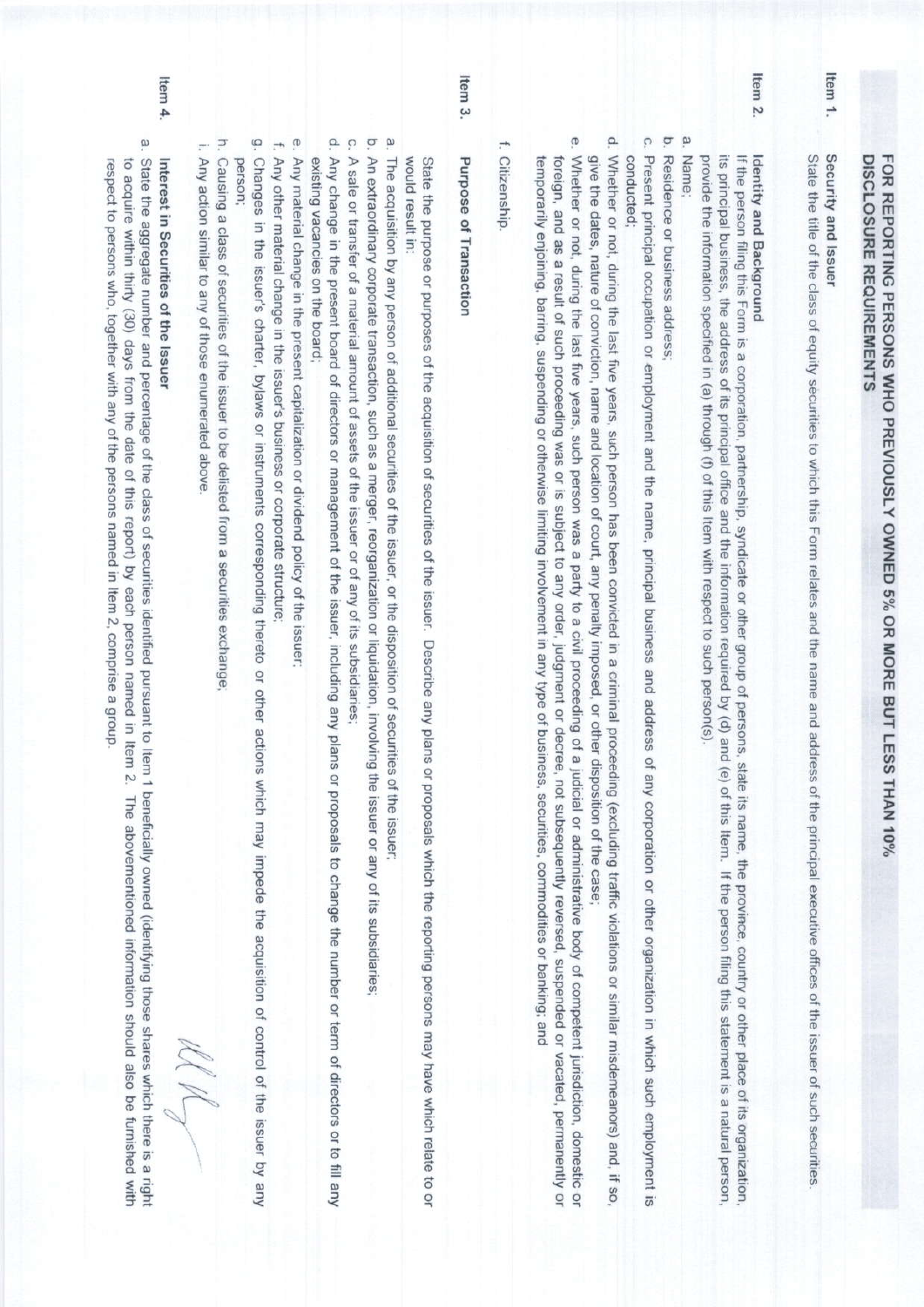| Ú<br>Ctate in a anomogle and necessions of the class of selection of the classified nursuant to them in the selection of the class of selection of the class of selection of the class of selection of the class of selection of th                                                                                                                                                                                                                                                                                                                                                                                                                                                                                                                                                                                          |         |  |
|------------------------------------------------------------------------------------------------------------------------------------------------------------------------------------------------------------------------------------------------------------------------------------------------------------------------------------------------------------------------------------------------------------------------------------------------------------------------------------------------------------------------------------------------------------------------------------------------------------------------------------------------------------------------------------------------------------------------------------------------------------------------------------------------------------------------------|---------|--|
| Interest in Securities of the Issuer                                                                                                                                                                                                                                                                                                                                                                                                                                                                                                                                                                                                                                                                                                                                                                                         | Item 4. |  |
| $\overline{\phantom{a}}$<br>Any action similar to any of those enumerated above<br>il il                                                                                                                                                                                                                                                                                                                                                                                                                                                                                                                                                                                                                                                                                                                                     |         |  |
| 'n,<br>Causing a class of securities of the issuer to be delisted from a securities exchange<br>person;                                                                                                                                                                                                                                                                                                                                                                                                                                                                                                                                                                                                                                                                                                                      |         |  |
| 9.<br><b>Changes</b><br>in the issuer's charter, bylaws or instruments corresponding thereto or other actions which may impede the acquisition of control of the issuer by any                                                                                                                                                                                                                                                                                                                                                                                                                                                                                                                                                                                                                                               |         |  |
| P.<br>÷,<br>Any other material change in the issuer's business or corporate structure<br>Any material change in the present capitalization or dividend policy of the issuer;                                                                                                                                                                                                                                                                                                                                                                                                                                                                                                                                                                                                                                                 |         |  |
| existing vacancies on the board;                                                                                                                                                                                                                                                                                                                                                                                                                                                                                                                                                                                                                                                                                                                                                                                             |         |  |
| ۹<br>Any change in the present board of directors or management of the issuer, including any plans or proposals to change the number or term of directors or to fill any                                                                                                                                                                                                                                                                                                                                                                                                                                                                                                                                                                                                                                                     |         |  |
| ō.<br>Ċ.<br>An extraordinary corporate transaction, such as a merger, reorganization or liquidation, involving the issuer or any of its subsidiaries;<br>A sale or transfer of a material amount of assets of the issuer or of any of its subsidiaries:                                                                                                                                                                                                                                                                                                                                                                                                                                                                                                                                                                      |         |  |
| ā,<br>The acquisition by any person of additional securities of the issuer, or the disposition of securities of the issuer                                                                                                                                                                                                                                                                                                                                                                                                                                                                                                                                                                                                                                                                                                   |         |  |
| would result in:<br>State the purpose or purposes of the acquisition of securities of the issuer. Describe any plans or proposals which the reporting persons may have which relate to or                                                                                                                                                                                                                                                                                                                                                                                                                                                                                                                                                                                                                                    |         |  |
| Purpose of Transaction                                                                                                                                                                                                                                                                                                                                                                                                                                                                                                                                                                                                                                                                                                                                                                                                       | ltem 3. |  |
| $\overline{\phantom{a}}$<br>Citizenship                                                                                                                                                                                                                                                                                                                                                                                                                                                                                                                                                                                                                                                                                                                                                                                      |         |  |
| $\alpha$<br>$\Phi$<br>Whether or not, during the last five years, such person has been convicted in a criminal proc<br>give the dates, nature of conviction, name and location of court, any penalty imposed, or other disposition of the case<br>temporarily enjoining, barring, suspending or otherwise limiting involvement in any type of busi<br>foreign, and as a result of such proceeding was or is subject to any order, judgment or decree, not subsequently reversed, suspended or vacated, permanently or<br>Whether or not, during the last five years, such person was a party to a civil proceeding of a judicial or administrative body of competent jurisdiction, domestic or<br>ness, securities, commodities or banking; and<br>eeding (excluding traffic violations or similar misdemeanors) and, if so, |         |  |
| $\Omega$<br>Present principal occupation or employment and the name, principal business and address<br>conducted;<br>of any corporation or other organization in which such employment is                                                                                                                                                                                                                                                                                                                                                                                                                                                                                                                                                                                                                                    |         |  |
| þ.<br>Residence or business address                                                                                                                                                                                                                                                                                                                                                                                                                                                                                                                                                                                                                                                                                                                                                                                          |         |  |
| $\overline{\omega}$<br>Name                                                                                                                                                                                                                                                                                                                                                                                                                                                                                                                                                                                                                                                                                                                                                                                                  |         |  |
| its principal business, the address of its principal office and the information required by (d) and (e) of this litem. If the person filing this statement is a natural person<br>Identity and Background<br>If the person filing this Form is a corporation, partnership, syndicate or other group of persons<br>provide the information specified in (a) through (f) of this Item with respect to such person(s).<br>state its name, the province, country or other place of its organization,                                                                                                                                                                                                                                                                                                                             | Item 2. |  |
| State the title of the class of equity securities to which this Form relates and the name and address of the principal executive offices of the issuer of such securities.                                                                                                                                                                                                                                                                                                                                                                                                                                                                                                                                                                                                                                                   |         |  |
| Security and Issuer                                                                                                                                                                                                                                                                                                                                                                                                                                                                                                                                                                                                                                                                                                                                                                                                          | Item 1. |  |
| DISCLOSURE REQUIREMENTS<br>POR REPORTING PERSONS WHO PREVIOUSLY OWNED 5% OR MORE BULL FESS HHAN 10%                                                                                                                                                                                                                                                                                                                                                                                                                                                                                                                                                                                                                                                                                                                          |         |  |

a. State the aggregate number and percentage of the class of securities loentified pursuant to fiem 1 beneficially owned (identifying those shares which there is a right<br>to acquire within thirty (30) days from the date of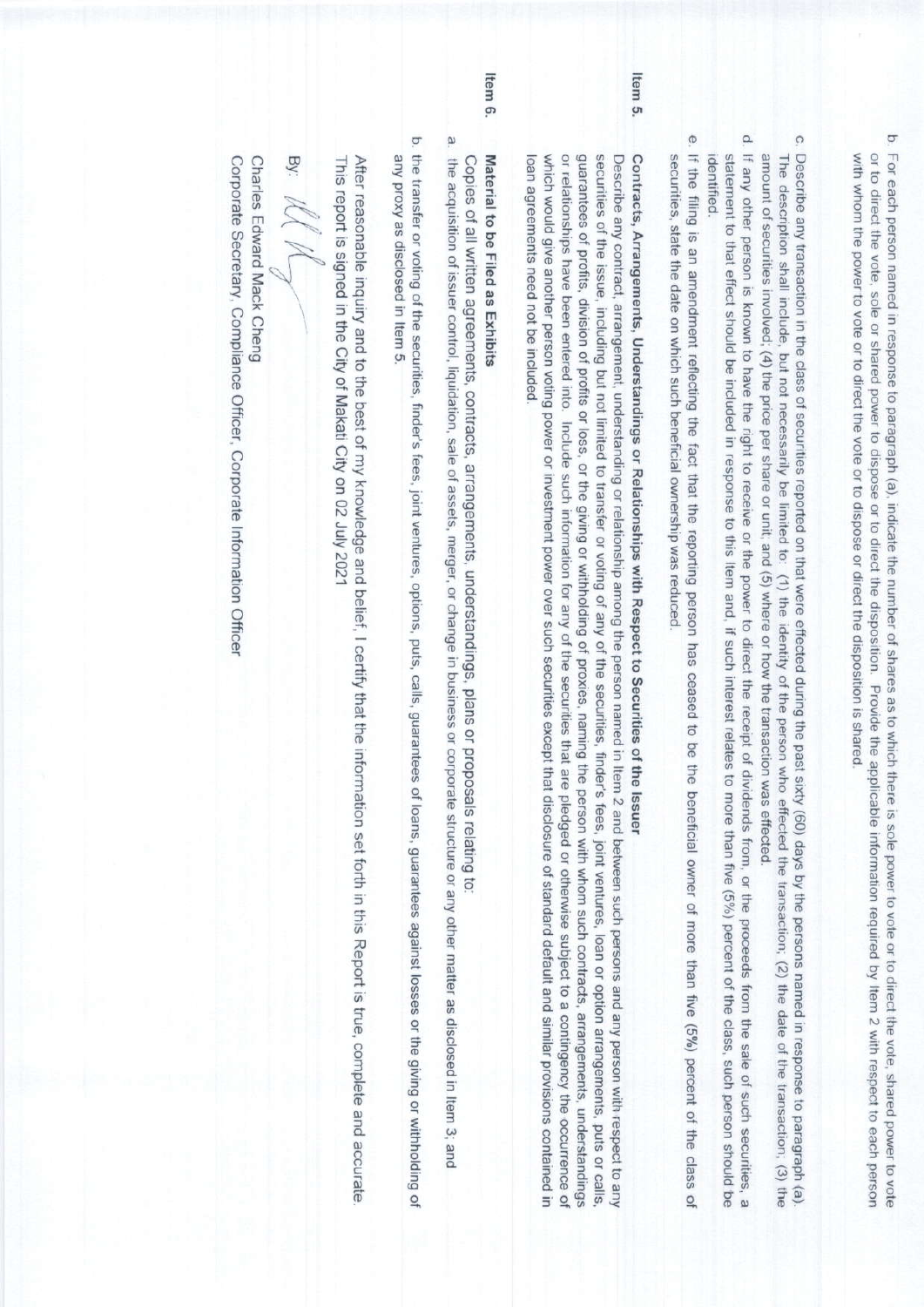- $\sigma$ For each person named in response to paragraph (a), indicate the number of shares as to which there is sole power to vote or to direct the vote, shared power to vote or to direct the vote, sole or shared power to dispose or to direct the disposition. Provide the applicable information required by Item 2 with respect to each person with whom the power to vote or to direct the vote or to dispose or direct the disposition is shared
- $\Omega$ Describe any transaction in the class of securities reported on that were effected during the past sixty (60) days by the persons named in response to paragraph (a). amount of securities involved; (4) the price per share or unit, and (5) where or how the transaction was effected The description shall include, but not necessarily be limited to: (1) the identity of the person who effected the transaction; (2) the date of the transaction; (3) the
- $\alpha$ If any other person is known to have the right to receive or the power to direct the receipt of dividends from, or the proceeds from the sale of such securities, a statement to that effect should be included in response to this ltem and, if such interest relates to more than five (5%) percent of the class, such person should be identified.
- If the filing is an amendment reflecting the fact that the reporting person has ceased to be the beneficial owner of more than five (5%) percent of the class of securities, state the date on which such beneficial ownership was reduced

## Item 5. Contracts, Arrangements, Understandings or Relationships with Respect to Securities of the Issuer

which would give another person voting power or investment power over such securities except that disclosure of standard default and similar provisions contained in or relationships have been entered into. Include such information for any of the securities that are pledged or otherwise subject to a contingency the occurrence of guarantees of profits, division of profits or loss, or the giving or withholding of proxies, naming the person with whom such contracts, arrangements, understandings securities of the issue, including but not limited to transfer or voting of any of the securities, finder's fees, joint ventures, loan or option arrangements, puts or calls Describe any contract, arrangement, understanding or relationship among the person named in litem 2 and between such persons and any person with respect to any loan agreements need not be included.

## Item 6. Material to be Filed as Exhibits

Copies of all written agreements, contracts, arrangements, understandings, plans or proposals relating to

- $\overline{\omega}$ the acquisition of issuer control, liquidation, sale of assets, merger, or change in business or corporate structure or any other matter as disclosed in Item 3; and
- $\sigma$ the transfer or voting of the securities, finder's fees, joint ventures, options, puts, calls, guarantees of loans, guarantees against losses or the giving or withholding of any proxy as disclosed in Item 5

This report is signed in the City of Makati City on 02 July 2021 After reasonable inquiry and to the best of my knowledge and belief, I certify that the information set forth in this Report is true, complete and accurate

Charles Edward Mack Cheng Corporate Secretary, Compliance Officer, Corporate Information Officer